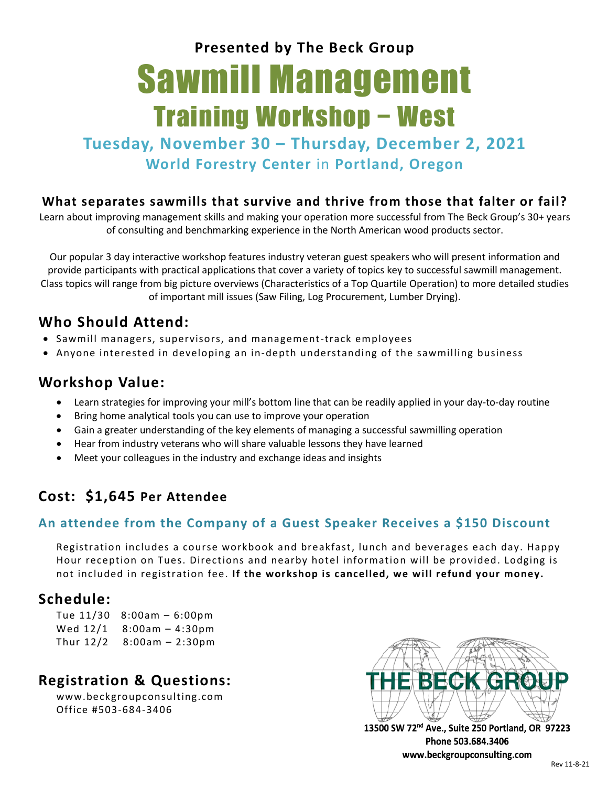**Presented by The Beck Group**

# Sawmill Management Training Workshop − West

**Tuesday, November 30 – Thursday, December 2, 2021 World Forestry Center** in **Portland, Oregon**

#### **What separates sawmills that survive and thrive from those that falter or fail?**

Learn about improving management skills and making your operation more successful from The Beck Group's 30+ years of consulting and benchmarking experience in the North American wood products sector.

Our popular 3 day interactive workshop features industry veteran guest speakers who will present information and provide participants with practical applications that cover a variety of topics key to successful sawmill management. Class topics will range from big picture overviews (Characteristics of a Top Quartile Operation) to more detailed studies of important mill issues (Saw Filing, Log Procurement, Lumber Drying).

## **Who Should Attend:**

- Sawmill managers, supervisors, and management-track employees
- Anyone interested in developing an in-depth understanding of the sawmilling business

## **Workshop Value:**

- Learn strategies for improving your mill's bottom line that can be readily applied in your day-to-day routine
- Bring home analytical tools you can use to improve your operation
- Gain a greater understanding of the key elements of managing a successful sawmilling operation
- Hear from industry veterans who will share valuable lessons they have learned
- Meet your colleagues in the industry and exchange ideas and insights

# **Cost: \$1,645 Per Attendee**

#### **An attendee from the Company of a Guest Speaker Receives a \$150 Discount**

Registration includes a course workbook and breakfast, lunch and beverages each day. Happy Hour reception on Tues. Directions and nearby hotel information will be provided. Lodging is not included in registration fee. **If the workshop is cancelled, we will refund your money.**

## **Schedule:**

|           | Tue $11/30$ 8:00am - 6:00pm |
|-----------|-----------------------------|
|           | Wed $12/1$ 8:00am - 4:30pm  |
| Thur 12/2 | $8:00am - 2:30pm$           |

# **Registration & Questions:**

[www.beckgroupconsulting.com](http://www.beckgroupconsulting.com/) Office #503-684-3406



13500 SW 72<sup>nd</sup> Ave., Suite 250 Portland, OR 97223 Phone 503.684.3406 www.beckgroupconsulting.com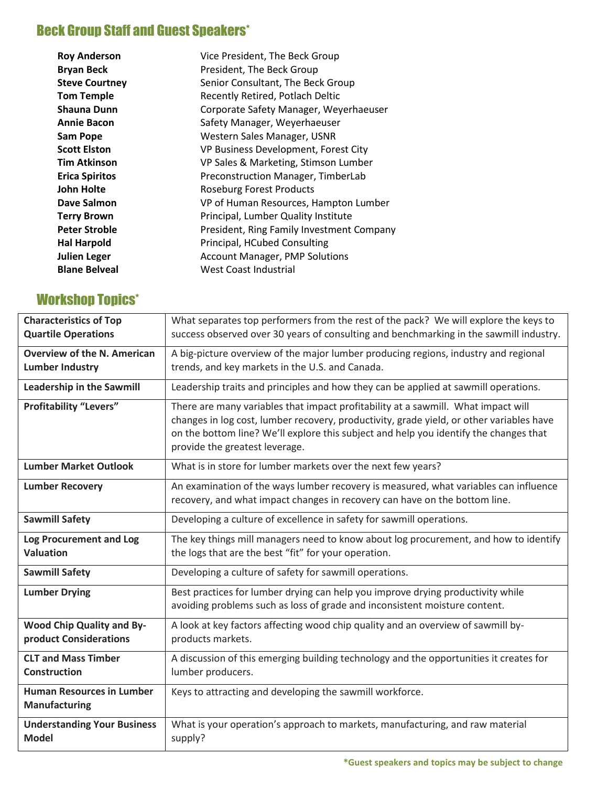# **Beck Group Staff and Guest Speakers\***

| <b>Roy Anderson</b>   | Vice President, The Beck Group            |
|-----------------------|-------------------------------------------|
| <b>Bryan Beck</b>     | President, The Beck Group                 |
| <b>Steve Courtney</b> | Senior Consultant, The Beck Group         |
| <b>Tom Temple</b>     | Recently Retired, Potlach Deltic          |
| <b>Shauna Dunn</b>    | Corporate Safety Manager, Weyerhaeuser    |
| <b>Annie Bacon</b>    | Safety Manager, Weyerhaeuser              |
| <b>Sam Pope</b>       | Western Sales Manager, USNR               |
| <b>Scott Elston</b>   | VP Business Development, Forest City      |
| <b>Tim Atkinson</b>   | VP Sales & Marketing, Stimson Lumber      |
| <b>Erica Spiritos</b> | Preconstruction Manager, TimberLab        |
| <b>John Holte</b>     | <b>Roseburg Forest Products</b>           |
| Dave Salmon           | VP of Human Resources, Hampton Lumber     |
| <b>Terry Brown</b>    | Principal, Lumber Quality Institute       |
| <b>Peter Stroble</b>  | President, Ring Family Investment Company |
| <b>Hal Harpold</b>    | Principal, HCubed Consulting              |
| <b>Julien Leger</b>   | <b>Account Manager, PMP Solutions</b>     |
| <b>Blane Belveal</b>  | West Coast Industrial                     |

# Workshop Topics\*

| <b>Characteristics of Top</b><br><b>Quartile Operations</b>  | What separates top performers from the rest of the pack? We will explore the keys to<br>success observed over 30 years of consulting and benchmarking in the sawmill industry.                                                                                                                           |  |
|--------------------------------------------------------------|----------------------------------------------------------------------------------------------------------------------------------------------------------------------------------------------------------------------------------------------------------------------------------------------------------|--|
| <b>Overview of the N. American</b><br><b>Lumber Industry</b> | A big-picture overview of the major lumber producing regions, industry and regional<br>trends, and key markets in the U.S. and Canada.                                                                                                                                                                   |  |
| <b>Leadership in the Sawmill</b>                             | Leadership traits and principles and how they can be applied at sawmill operations.                                                                                                                                                                                                                      |  |
| <b>Profitability "Levers"</b>                                | There are many variables that impact profitability at a sawmill. What impact will<br>changes in log cost, lumber recovery, productivity, grade yield, or other variables have<br>on the bottom line? We'll explore this subject and help you identify the changes that<br>provide the greatest leverage. |  |
| <b>Lumber Market Outlook</b>                                 | What is in store for lumber markets over the next few years?                                                                                                                                                                                                                                             |  |
| <b>Lumber Recovery</b>                                       | An examination of the ways lumber recovery is measured, what variables can influence<br>recovery, and what impact changes in recovery can have on the bottom line.                                                                                                                                       |  |
| <b>Sawmill Safety</b>                                        | Developing a culture of excellence in safety for sawmill operations.                                                                                                                                                                                                                                     |  |
| Log Procurement and Log<br><b>Valuation</b>                  | The key things mill managers need to know about log procurement, and how to identify<br>the logs that are the best "fit" for your operation.                                                                                                                                                             |  |
| <b>Sawmill Safety</b>                                        | Developing a culture of safety for sawmill operations.                                                                                                                                                                                                                                                   |  |
| <b>Lumber Drying</b>                                         | Best practices for lumber drying can help you improve drying productivity while<br>avoiding problems such as loss of grade and inconsistent moisture content.                                                                                                                                            |  |
| <b>Wood Chip Quality and By-</b><br>product Considerations   | A look at key factors affecting wood chip quality and an overview of sawmill by-<br>products markets.                                                                                                                                                                                                    |  |
| <b>CLT and Mass Timber</b><br><b>Construction</b>            | A discussion of this emerging building technology and the opportunities it creates for<br>lumber producers.                                                                                                                                                                                              |  |
| <b>Human Resources in Lumber</b><br><b>Manufacturing</b>     | Keys to attracting and developing the sawmill workforce.                                                                                                                                                                                                                                                 |  |
| <b>Understanding Your Business</b><br><b>Model</b>           | What is your operation's approach to markets, manufacturing, and raw material<br>supply?                                                                                                                                                                                                                 |  |